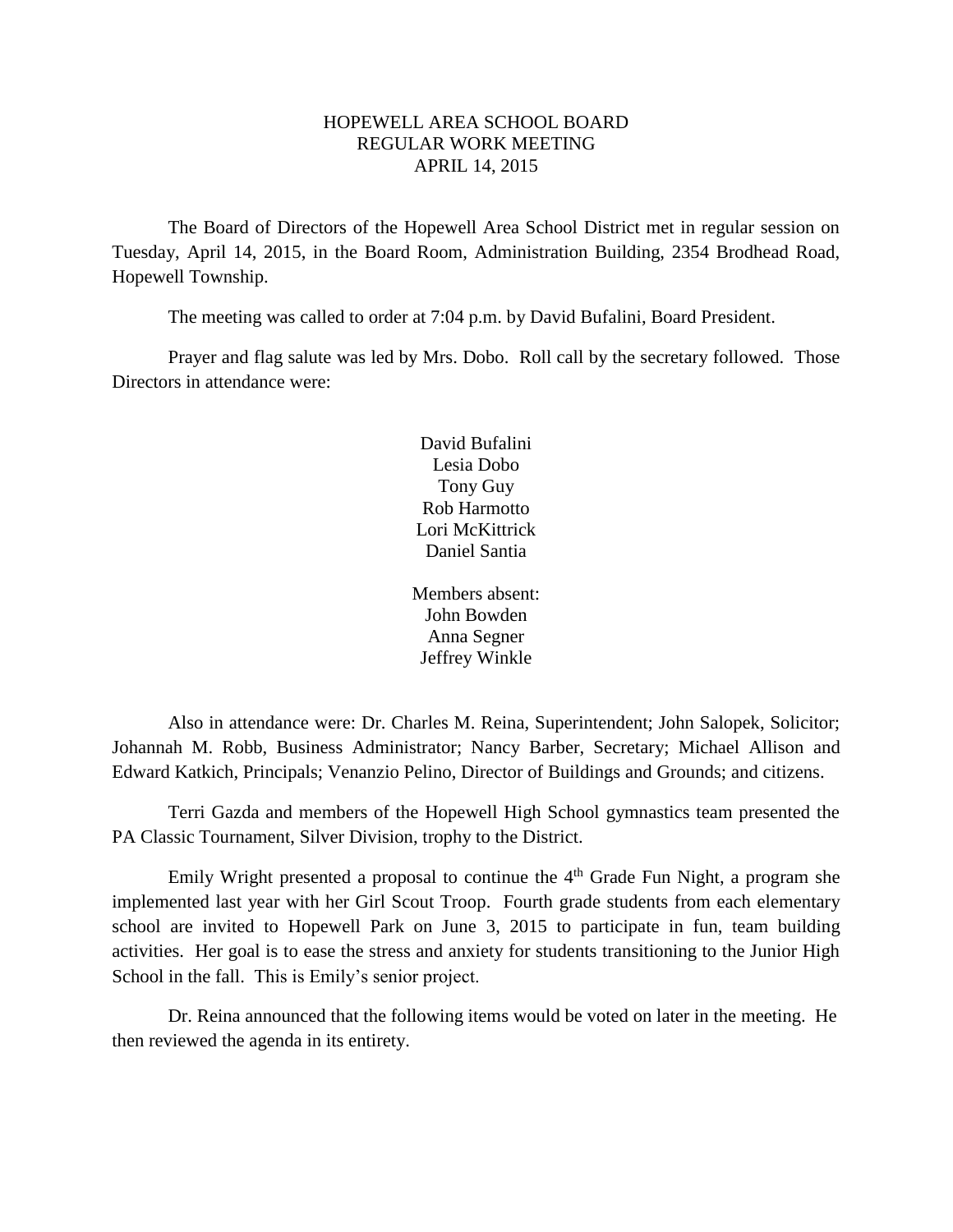#### HOPEWELL AREA SCHOOL BOARD REGULAR WORK MEETING APRIL 14, 2015

The Board of Directors of the Hopewell Area School District met in regular session on Tuesday, April 14, 2015, in the Board Room, Administration Building, 2354 Brodhead Road, Hopewell Township.

The meeting was called to order at 7:04 p.m. by David Bufalini, Board President.

Prayer and flag salute was led by Mrs. Dobo. Roll call by the secretary followed. Those Directors in attendance were:

> David Bufalini Lesia Dobo Tony Guy Rob Harmotto Lori McKittrick Daniel Santia

Members absent: John Bowden Anna Segner Jeffrey Winkle

Also in attendance were: Dr. Charles M. Reina, Superintendent; John Salopek, Solicitor; Johannah M. Robb, Business Administrator; Nancy Barber, Secretary; Michael Allison and Edward Katkich, Principals; Venanzio Pelino, Director of Buildings and Grounds; and citizens.

Terri Gazda and members of the Hopewell High School gymnastics team presented the PA Classic Tournament, Silver Division, trophy to the District.

Emily Wright presented a proposal to continue the  $4<sup>th</sup>$  Grade Fun Night, a program she implemented last year with her Girl Scout Troop. Fourth grade students from each elementary school are invited to Hopewell Park on June 3, 2015 to participate in fun, team building activities. Her goal is to ease the stress and anxiety for students transitioning to the Junior High School in the fall. This is Emily's senior project.

Dr. Reina announced that the following items would be voted on later in the meeting. He then reviewed the agenda in its entirety.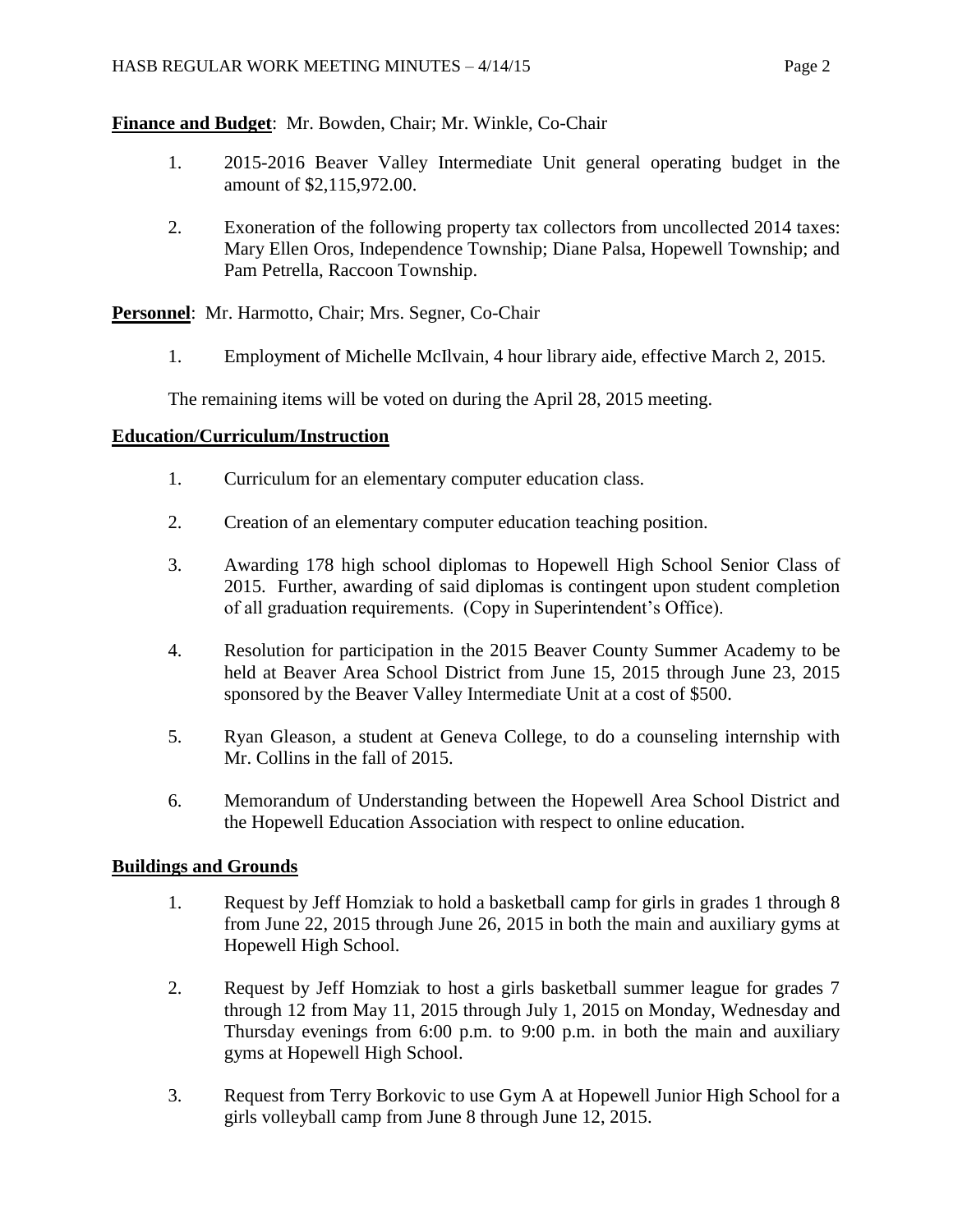**Finance and Budget**: Mr. Bowden, Chair; Mr. Winkle, Co-Chair

- 1. 2015-2016 Beaver Valley Intermediate Unit general operating budget in the amount of \$2,115,972.00.
- 2. Exoneration of the following property tax collectors from uncollected 2014 taxes: Mary Ellen Oros, Independence Township; Diane Palsa, Hopewell Township; and Pam Petrella, Raccoon Township.

**Personnel**: Mr. Harmotto, Chair; Mrs. Segner, Co-Chair

1. Employment of Michelle McIlvain, 4 hour library aide, effective March 2, 2015.

The remaining items will be voted on during the April 28, 2015 meeting.

## **Education/Curriculum/Instruction**

- 1. Curriculum for an elementary computer education class.
- 2. Creation of an elementary computer education teaching position.
- 3. Awarding 178 high school diplomas to Hopewell High School Senior Class of 2015. Further, awarding of said diplomas is contingent upon student completion of all graduation requirements. (Copy in Superintendent's Office).
- 4. Resolution for participation in the 2015 Beaver County Summer Academy to be held at Beaver Area School District from June 15, 2015 through June 23, 2015 sponsored by the Beaver Valley Intermediate Unit at a cost of \$500.
- 5. Ryan Gleason, a student at Geneva College, to do a counseling internship with Mr. Collins in the fall of 2015.
- 6. Memorandum of Understanding between the Hopewell Area School District and the Hopewell Education Association with respect to online education.

# **Buildings and Grounds**

- 1. Request by Jeff Homziak to hold a basketball camp for girls in grades 1 through 8 from June 22, 2015 through June 26, 2015 in both the main and auxiliary gyms at Hopewell High School.
- 2. Request by Jeff Homziak to host a girls basketball summer league for grades 7 through 12 from May 11, 2015 through July 1, 2015 on Monday, Wednesday and Thursday evenings from 6:00 p.m. to 9:00 p.m. in both the main and auxiliary gyms at Hopewell High School.
- 3. Request from Terry Borkovic to use Gym A at Hopewell Junior High School for a girls volleyball camp from June 8 through June 12, 2015.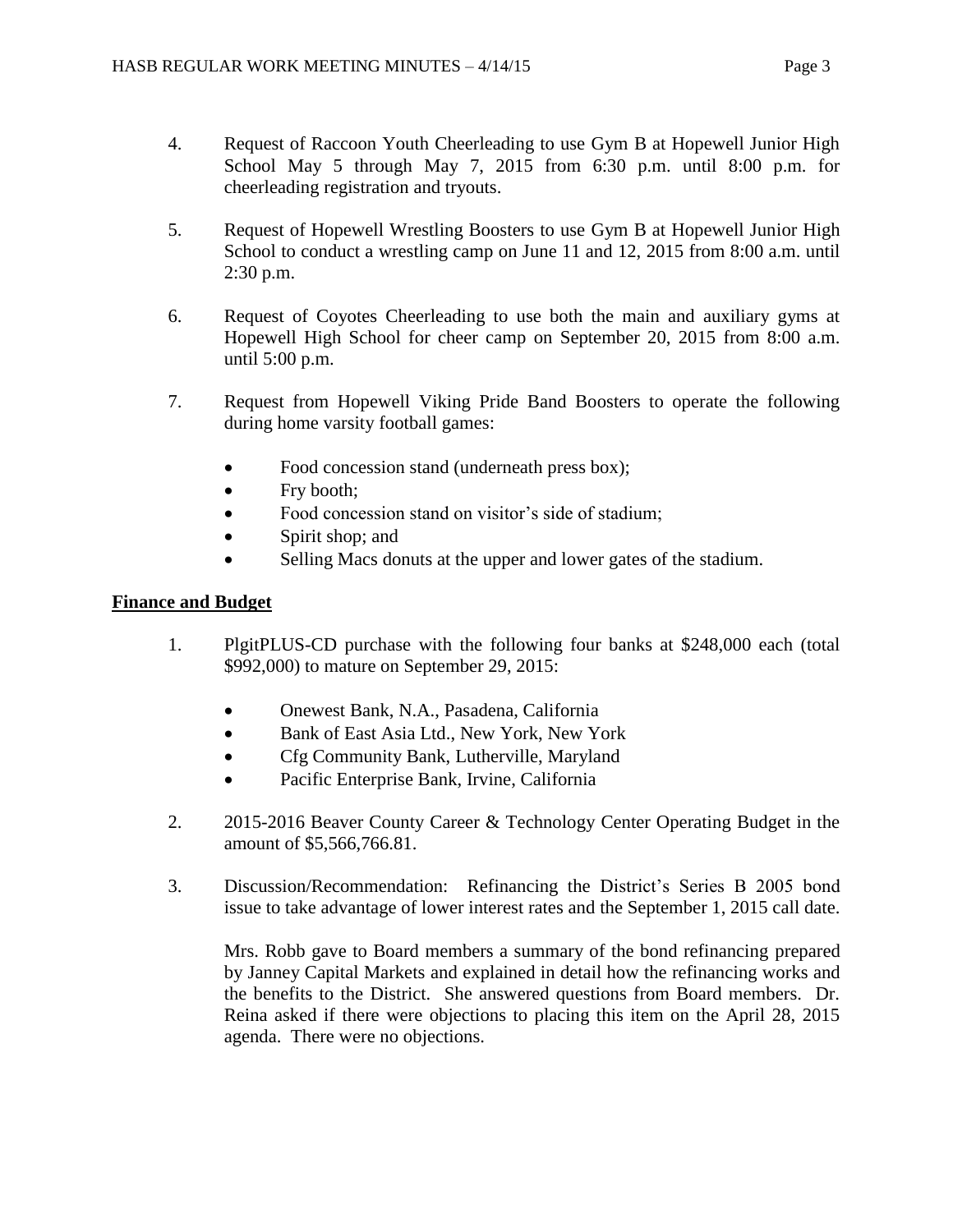- 4. Request of Raccoon Youth Cheerleading to use Gym B at Hopewell Junior High School May 5 through May 7, 2015 from 6:30 p.m. until 8:00 p.m. for cheerleading registration and tryouts.
- 5. Request of Hopewell Wrestling Boosters to use Gym B at Hopewell Junior High School to conduct a wrestling camp on June 11 and 12, 2015 from 8:00 a.m. until 2:30 p.m.
- 6. Request of Coyotes Cheerleading to use both the main and auxiliary gyms at Hopewell High School for cheer camp on September 20, 2015 from 8:00 a.m. until 5:00 p.m.
- 7. Request from Hopewell Viking Pride Band Boosters to operate the following during home varsity football games:
	- Food concession stand (underneath press box);
	- Fry booth;
	- Food concession stand on visitor's side of stadium;
	- Spirit shop; and
	- Selling Macs donuts at the upper and lower gates of the stadium.

## **Finance and Budget**

- 1. PlgitPLUS-CD purchase with the following four banks at \$248,000 each (total \$992,000) to mature on September 29, 2015:
	- Onewest Bank, N.A., Pasadena, California
	- Bank of East Asia Ltd., New York, New York
	- Cfg Community Bank, Lutherville, Maryland
	- Pacific Enterprise Bank, Irvine, California
- 2. 2015-2016 Beaver County Career & Technology Center Operating Budget in the amount of \$5,566,766.81.
- 3. Discussion/Recommendation: Refinancing the District's Series B 2005 bond issue to take advantage of lower interest rates and the September 1, 2015 call date.

Mrs. Robb gave to Board members a summary of the bond refinancing prepared by Janney Capital Markets and explained in detail how the refinancing works and the benefits to the District. She answered questions from Board members. Dr. Reina asked if there were objections to placing this item on the April 28, 2015 agenda. There were no objections.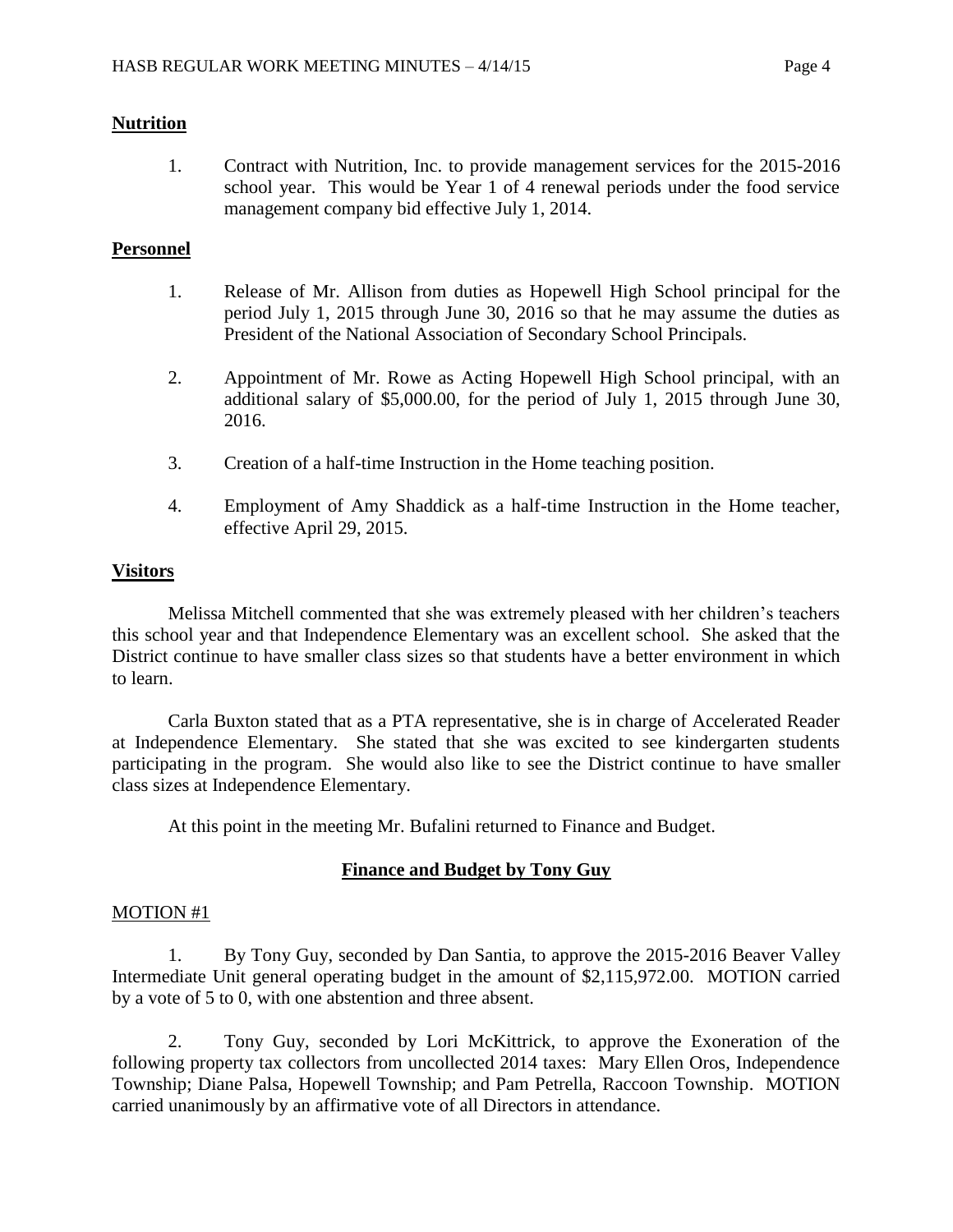## **Nutrition**

1. Contract with Nutrition, Inc. to provide management services for the 2015-2016 school year. This would be Year 1 of 4 renewal periods under the food service management company bid effective July 1, 2014.

## **Personnel**

- 1. Release of Mr. Allison from duties as Hopewell High School principal for the period July 1, 2015 through June 30, 2016 so that he may assume the duties as President of the National Association of Secondary School Principals.
- 2. Appointment of Mr. Rowe as Acting Hopewell High School principal, with an additional salary of \$5,000.00, for the period of July 1, 2015 through June 30, 2016.
- 3. Creation of a half-time Instruction in the Home teaching position.
- 4. Employment of Amy Shaddick as a half-time Instruction in the Home teacher, effective April 29, 2015.

## **Visitors**

Melissa Mitchell commented that she was extremely pleased with her children's teachers this school year and that Independence Elementary was an excellent school. She asked that the District continue to have smaller class sizes so that students have a better environment in which to learn.

Carla Buxton stated that as a PTA representative, she is in charge of Accelerated Reader at Independence Elementary. She stated that she was excited to see kindergarten students participating in the program. She would also like to see the District continue to have smaller class sizes at Independence Elementary.

At this point in the meeting Mr. Bufalini returned to Finance and Budget.

# **Finance and Budget by Tony Guy**

### MOTION #1

1. By Tony Guy, seconded by Dan Santia, to approve the 2015-2016 Beaver Valley Intermediate Unit general operating budget in the amount of \$2,115,972.00. MOTION carried by a vote of 5 to 0, with one abstention and three absent.

2. Tony Guy, seconded by Lori McKittrick, to approve the Exoneration of the following property tax collectors from uncollected 2014 taxes: Mary Ellen Oros, Independence Township; Diane Palsa, Hopewell Township; and Pam Petrella, Raccoon Township. MOTION carried unanimously by an affirmative vote of all Directors in attendance.